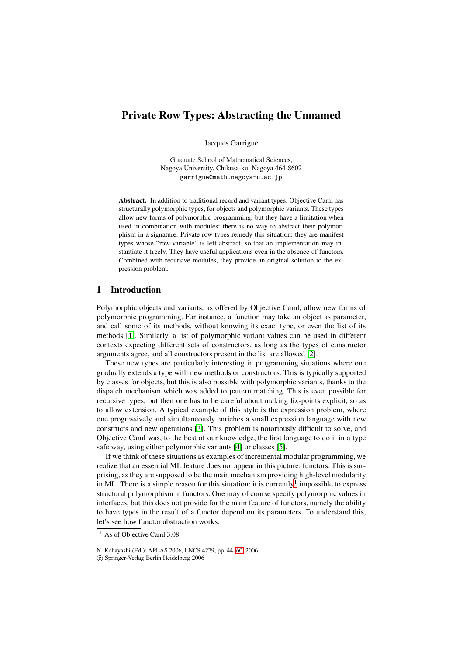# **Private Row Types: Abstracting the Unnamed**

Jacques Garrigue

Graduate School of Mathematical Sciences, Nagoya University, Chikusa-ku, Nagoya 464-8602 garrigue@math.nagoya-u.ac.jp

**Abstract.** In addition to traditional record and variant types, Objective Caml has structurally polymorphic types, for objects and polymorphic variants. These types allow new forms of polymorphic programming, but they have a limitation when used in combination with modules: there is no way to abstract their polymorphism in a signature. Private row types remedy this situation: they are manifest types whose "row-variable" is left abstract, so that an implementation may instantiate it freely. They have useful applications even in the absence of functors. Combined with recursive modules, they provide an original solution to the expression problem.

## **1 Introduction**

Polymorphic objects and variants, as offered by Objective Caml, allow new forms of polymorphic programming. For instance, a function may take an object as parameter, and call some of its methods, without knowing its exact type, or even the list of its methods [1]. Similarly, a list of polymorphic variant values can be used in different contexts expecting different sets of constructors, as long as the types of constructor arguments agree, and all constructors present in the list are allowed [2].

These new types are particularly interesting in programming situations where one gradually [ex](#page-15-0)tends a type with new methods or constructors. This is typically supported by classes for objects, but this is also possible with polymorphic variants, thanks to the dispatch mechanism which was added to pattern matching. This i[s e](#page-15-1)ven possible for recursive types, but then one has to be careful about making fix-points explicit, so as to allow extension. A typical example of this style is the expression problem, where one progressively and simultaneously enriches a small expression language with new constructs and new operations [3]. This problem is notoriously difficult to solve, and Objective Caml was, to the best of our knowledge, the first language to do it in a type safe way, using either polymorphic variants [4] or classes [5].

If we think of these situations as examples of incremental modular programming, we realize that an essential ML feat[ure](#page-15-2) does not appear in this picture: functors. This is surprising, as they are supposed to be the main mechanism providing high-level modularity in ML. There is a simple reason for this situ[ati](#page-15-3)on: it is curr[en](#page-15-4)tly<sup>1</sup> impossible to express structural polymorphism in functors. One may of course specify polymorphic values in interfaces, but this does not provide for the main feature of functors, namely the ability to have types in the result of a functor depend on its parameters. To understand this, let's see how functor abstraction works.

 $<sup>1</sup>$  As of Objective Caml 3.08.</sup>

N. Kobayashi (Ed.): APLAS 2006, LNCS 4279, pp. 44–60, 2006.

<sup>-</sup>c Springer-Verlag Berlin Heidelberg 2006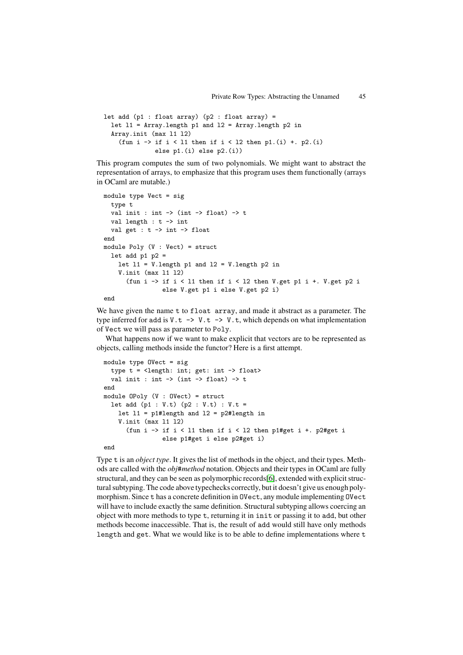```
let add (p1 : float array) (p2 : float array) =let 11 = Array.length p1 and 12 = Array.length p2 in
  Array.init (max l1 l2)
    (fun i \rightarrow if i < 11 then if i < 12 then p1.(i) +. p2.(i)
              else p1.(i) else p2.(i))
```
This program computes the sum of two polynomials. We might want to abstract the representation of arrays, to emphasize that this program uses them functionally (arrays in OCaml are mutable.)

```
module type Vect = sig
  type t
  val init : int \rightarrow (int \rightarrow float) \rightarrow t
  val length : t -> int
  val get : t \rightarrow int \rightarrow floatend
module Poly (V : Vect) = struct
  let add p1 p2 =
    let 11 = V.length p1 and 12 = V.length p2 in
    V.init (max l1 l2)
       (fun i -> if i < 11 then if i < 12 then V.get p1 i +. V.get p2 i
                  else V.get p1 i else V.get p2 i)
end
```
We have given the name t to float array, and made it abstract as a parameter. The type inferred for add is  $V \cdot t \rightarrow V \cdot t \rightarrow V \cdot t$ , which depends on what implementation of Vect we will pass as parameter to Poly.

What happens now if we want to make explicit that vectors are to be represented as objects, calling methods inside the functor? Here is a first attempt.

```
module type OVect = sig
  type t = <length: int; get: int \rightarrow float>
  val init : int \rightarrow (int \rightarrow float) \rightarrow t
end
module OPoly (V : OVect) = struct
 let add (p1 : V.t) (p2 : V.t) : V.t =let 11 = p1#length and 12 = p2#length in
    V.init (max l1 l2)
      (fun i -> if i < l1 then if i < l2 then p1#get i +. p2#get i
                 else p1#get i else p2#get i)
end
```
Type t is an *object type*. It gives the list of methods in the object, and their types. Methods are called with the *obj*#*method* notation. Objects and their types in OCaml are fully structural, and they can be seen as polymorphic records[6], extended with explicit structural subtyping. The code above typechecks correctly, but it doesn't give us enough polymorphism. Since t has a concrete definition in OVect, any module implementing OVect will have to include exactly the same definition. Structural subtyping allows coercing an object with more methods to type t, returning it in in[it](#page-15-5) or passing it to add, but other methods become inaccessible. That is, the result of add would still have only methods length and get. What we would like is to be able to define implementations where t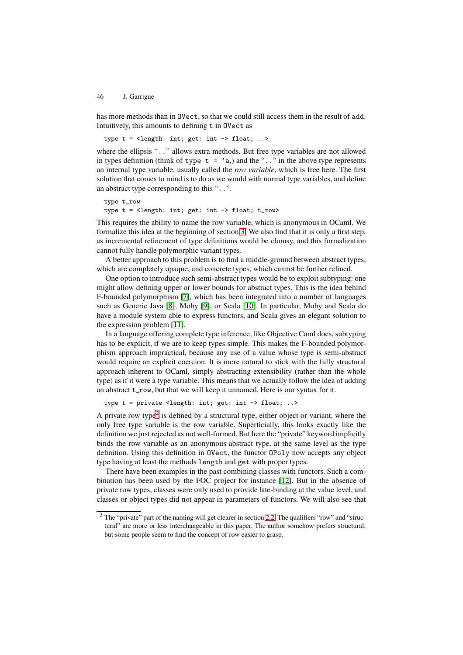has more methods than in OVect, so that we could still access them in the result of add. Intuitively, this amounts to defining t in OVect as

type t = <length: int; get: int -> float; ..>

where the ellipsis ".." allows extra methods. But free type variables are not allowed in types definition (think of type  $t = 'a$ ) and the "..." in the above type represents an internal type variable, usually called the *row variable*, which is free here. The first solution that comes to mind is to do as we would with normal type variables, and define an abstract type corresponding to this "..".

```
type t_row
type t = <length: int; get: int -> float; t_row>
```
This requires the ability to name the row variable, which is anonymous in OCaml. We formalize this idea at the beginning of section 3. We also find that it is only a first step, as incremental refinement of type definitions would be clumsy, and this formalization cannot fully handle polymorphic variant types.

A better approach to this problem is to find a middle-ground between abstract types, which are completely opaque, and concrete ty[pe](#page-9-0)s, which cannot be further refined.

One option to introduce such semi-abstract types would be to exploit subtyping: one might allow defining upper or lower bounds for abstract types. This is the idea behind F-bounded polymorphism [7], which has been integrated into a number of languages such as Generic Java [8], Moby [9], or Scala [10]. In particular, Moby and Scala do have a module system able to express functors, and Scala gives an elegant solution to the expression problem [11].

In a language offering c[om](#page-15-6)plete type inference, like Objective Caml does, subtyping has to be explicit, if w[e a](#page-15-7)re to ke[ep](#page-16-0) types simpl[e. T](#page-16-1)his makes the F-bounded polymorphism approach impractical, because any use of a value whose type is semi-abstract would require an explic[it co](#page-16-2)ercion. It is more natural to stick with the fully structural approach inherent to OCaml, simply abstracting extensibility (rather than the whole type) as if it were a type variable. This means that we actually follow the idea of adding an abstract  $t$  row, but that we will keep it unnamed. Here is our syntax for it.

type t = private <length: int; get: int -> float; ..>

A private row type<sup>2</sup> is defined by a structural type, either object or variant, where the only free type variable is the row variable. Superficially, this looks exactly like the definition we just rejected as not well-formed. But here the "private" keyword implicitly binds the row variable as an anonymous abstract type, at the same level as the type definition. Using t[hi](#page-2-0)s definition in OVect, the functor OPoly now accepts any object type having at least the methods length and get with proper types.

There have been examples in the past combining classes with functors. Such a combination has been used by the FOC project for instance [12]. But in the absence of private row types, classes were only used to provide late-binding at the value level, and classes or object types did not appear in parameters of functors. We will also see that

<span id="page-2-0"></span> $2$  [The](#page-16-3) "private" part of the naming will get clearer in section 2.2. The qualifiers "row" and "structural" are more or less interchangeable in this paper. The author somehow prefers structural, but some people seem to find the concept of row easier to grasp.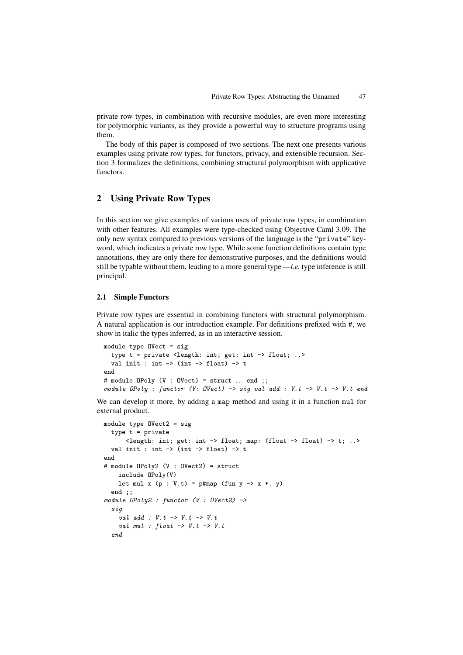private row types, in combination with recursive modules, are even more interesting for polymorphic variants, as they provide a powerful way to structure programs using them.

The body of this paper is composed of two sections. The next one presents various examples using private row types, for functors, privacy, and extensible recursion. Section 3 formalizes the definitions, combining structural polymorphism with applicative functors.

## **2 Using Private Row Types**

In this section we give examples of various uses of private row types, in combination with other features. All examples were type-checked using Objective Caml 3.09. The only new syntax compared to previous versions of the language is the "private" keyword, which indicates a private row type. While some function definitions contain type annotations, they are only there for demonstrative purposes, and the definitions would still be typable without them, leading to a more general type —*i.e.* type inference is still principal.

### **2.1 Simple Functors**

Private row types are essential in combining functors with structural polymorphism. A natural application is our introduction example. For definitions prefixed with #, we show in italic the types inferred, as in an interactive session.

```
module type OVect = sig
  type t = private <length: int; get: int \rightarrow float; ..>
  val init : int \rightarrow (int \rightarrow float) \rightarrow t
end
# module OPoly (V : OVect) = struct ... end ;;
module OPoly : functor (V: OVect) -> sig val add : V.t -> V.t -> V.t end
```
We can develop it more, by adding a map method and using it in a function mul for external product.

```
module type 0Vect2 = sigtype t = private
       \{length: \text{ int}; \text{ get}: \text{ int} \rightarrow float; \text{ map}: \text{ (float } \rightarrow float) \rightarrow t; \text{ ...} \}val init : int \rightarrow (int \rightarrow float) \rightarrow t
end
# module OPoly2 (V : OVect2) = struct
     include OPoly(V)
     let mul x (p : V.t) = p#map (fun y \rightarrow x *. y)end ;;
module OPoly2 : functor (V : OVect2) ->
  sig
    val add : V.t -> V.t -> V.t
    val mul : float -> V.t -> V.t
  end
```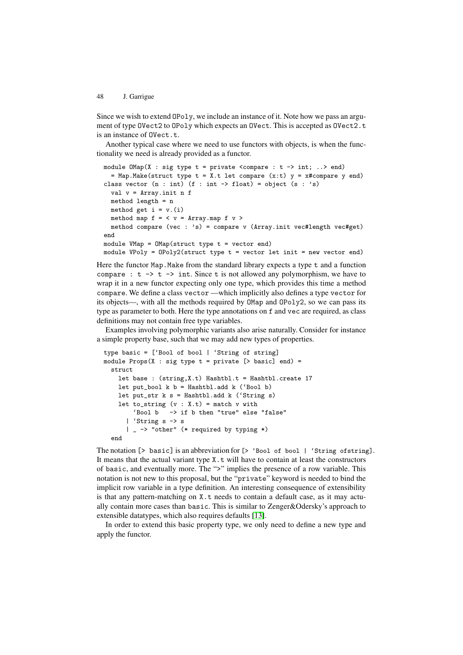Since we wish to extend OPoly, we include an instance of it. Note how we pass an argument of type OVect2 to OPoly which expects an OVect. This is accepted as OVect2.t is an instance of OVect.t.

Another typical case where we need to use functors with objects, is when the functionality we need is already provided as a functor.

```
module OMap(X : sig type t = private < compare : t -> int; ...> end)= Map.Make(struct type t = X.t let compare (x:t) y = x#compare y end)
class vector (n : int) (f : int \rightarrow float) = object (s : 's)val v = Array.init n f
 method length = n
 method get i = v.(i)method map f = \langle v = Arraymap f v \ranglemethod compare (vec : 's) = compare v (Array.init vec#length vec#get)
end
module VMap = OMap(struct type t = vector end)
module VPoly = OPoly2(struct type t = vector let init = new vector end)
```
Here the functor Map. Make from the standard library expects a type t and a function compare :  $t \rightarrow t \rightarrow int$ . Since t is not allowed any polymorphism, we have to wrap it in a new functor expecting only one type, which provides this time a method compare. We define a class vector —which implicitly also defines a type vector for its objects—, with all the methods required by OMap and OPoly2, so we can pass its type as parameter to both. Here the type annotations on f and vec are required, as class definitions may not contain free type variables.

Examples involving polymorphic variants also arise naturally. Consider for instance a simple property base, such that we may add new types of properties.

```
type basic = ['Bool of bool | 'String of string]
module Props(X : sig type t = private [> basic] end) =
  struct
    let base : (string, X.t) Hashtbl.t = Hashtbl.create 17
    let put_bool k b = Hashtbl.add k ('Bool b)
    let put_str k s = Hashtbl.add k ('String s)
    let to_string (v : X.t) = match v with'Bool b -> if b then "true" else "false"
      | 'String s -> s
      \vert \vert \rightarrow "other" (* required by typing *)
  end
```
The notation [> basic] is an abbreviation for [> 'Bool of bool | 'String ofstring]. It means that the actual variant type  $X \cdot t$  will have to contain at least the constructors of basic, and eventually more. The ">" implies the presence of a row variable. This notation is not new to this proposal, but the "private" keyword is needed to bind the implicit row variable in a type definition. An interesting consequence of extensibility is that any pattern-matching on X.t needs to contain a default case, as it may actually contain more cases than basic. This is similar to Zenger&Odersky's approach to extensible datatypes, which also requires defaults [13].

In order to extend this basic property type, we only need to define a new type and apply the functor.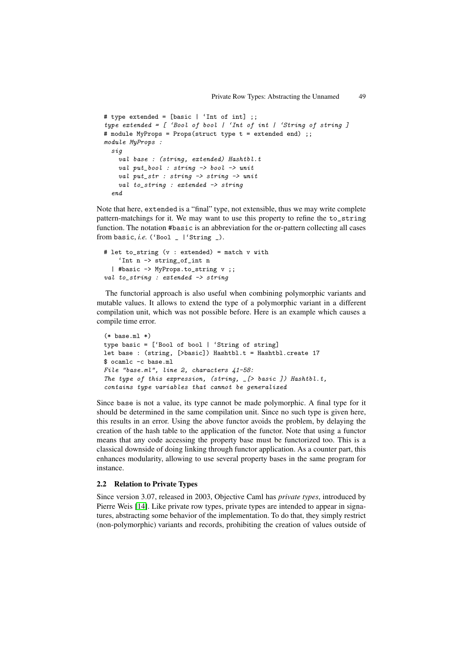```
# type extended = [basic | 'Int of int] ;;
type extended = [ 'Bool of bool | 'Int of int | 'String of string ]
# module MyProps = Props(struct type t = extended end) ;;
module MyProps :
  sig
   val base : (string, extended) Hashtbl.t
   val put_bool : string -> bool -> unit
   val put_str : string -> string -> unit
   val to_string : extended -> string
  end
```
Note that here, extended is a "final" type, not extensible, thus we may write complete pattern-matchings for it. We may want to use this property to refine the to\_string function. The notation #basic is an abbreviation for the or-pattern collecting all cases from basic, *i.e.* ('Bool \_ |'String \_).

```
# let to_string (v : extended) = match v with
    'Int n -> string_of_int n
  | #basic -> MyProps.to_string v ;;
val to_string : extended -> string
```
The functorial approach is also useful when combining polymorphic variants and mutable values. It allows to extend the type of a polymorphic variant in a different compilation unit, which was not possible before. Here is an example which causes a compile time error.

```
(* base.m1 *)type basic = ['Bool of bool | 'String of string]
let base : (string, [>basic]) Hashtbl.t = Hashtbl.create 17
$ ocamlc -c base.ml
File "base.ml", line 2, characters 41-58:
The type of this expression, (string, _[> basic ]) Hashtbl.t,
contains type variables that cannot be generalized
```
Since base is not a value, its type cannot be made polymorphic. A final type for it should be determined in the same compilation unit. Since no such type is given here, this results in an error. Using the above functor avoids the problem, by delaying the creation of the hash table to the application of the functor. Note that using a functor means that any code accessing the property base must be functorized too. This is a classical downside of doing linking through functor application. As a counter part, this enhances modularity, allowing to use several property bases in the same program for instance.

### **2.2 Relation to Private Types**

Since version 3.07, released in 2003, Objective Caml has *private types*, introduced by Pierre Weis [14]. Like private row types, private types are intended to appear in signatures, abstracting some behavior of the implementation. To do that, they simply restrict (non-polymorphic) variants and records, prohibiting the creation of values outside of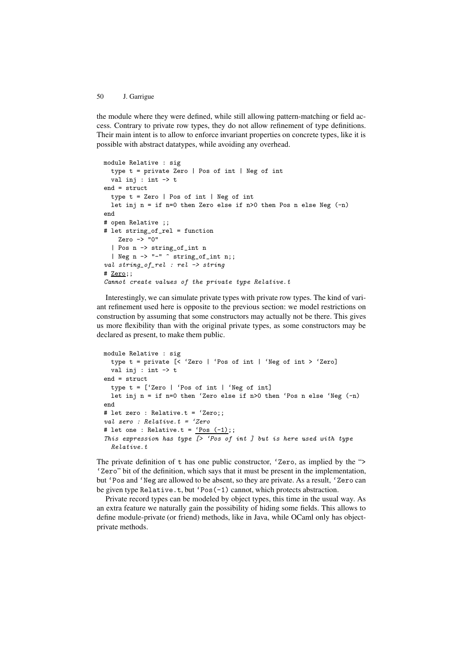the module where they were defined, while still allowing pattern-matching or field access. Contrary to private row types, they do not allow refinement of type definitions. Their main intent is to allow to enforce invariant properties on concrete types, like it is possible with abstract datatypes, while avoiding any overhead.

```
module Relative : sig
 type t = private Zero | Pos of int | Neg of int
 val inj : int -> t
end = struct
  type t = Zero | Pos of int | Neg of int
 let inj n = if n=0 then Zero else if n>0 then Pos n else Neg (-n)
end
# open Relative ;;
# let string_of_rel = function
    Zero -> "0"
  | Pos n -> string_of_int n
  | Neg n -> "-" ^ string_of_int n;;
val string_of_rel : rel -> string
# Zero;;
Cannot create values of the private type Relative.t
```
Interestingly, we can simulate private types with private row types. The kind of variant refinement used here is opposite to the previous section: we model restrictions on construction by assuming that some constructors may actually not be there. This gives us more flexibility than with the original private types, as some constructors may be declared as present, to make them public.

```
module Relative : sig
 type t = private [< 'Zero | 'Pos of int | 'Neg of int > 'Zero]
 val inj : int -> t
end =struct
 type t = ['Zero | 'Pos of int | 'Neg of int]
 let inj n = if n=0 then 'Zero else if n>0 then 'Pos n else 'Neg (-n)end
# let zero : Relative.t = 'Zero;;
val zero : Relative.t = 'Zero
# let one : Relative.t = 'Pos (-1);;
This expression has type [> 'Pos of int ] but is here used with type
 Relative.t
```
The private definition of t has one public constructor, 'Zero, as implied by the "> 'Zero" bit of the definition, which says that it must be present in the implementation, but 'Pos and 'Neg are allowed to be absent, so they are private. As a result, 'Zero can be given type Relative.t, but 'Pos(-1) cannot, which protects abstraction.

Private record types can be modeled by object types, this time in the usual way. As an extra feature we naturally gain the possibility of hiding some fields. This allows to define module-private (or friend) methods, like in Java, while OCaml only has objectprivate methods.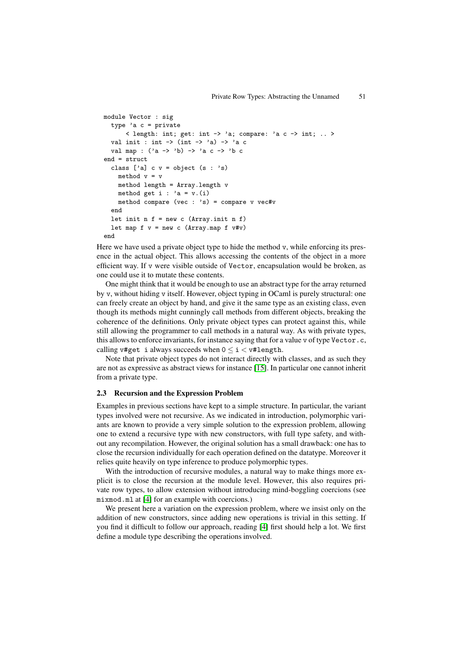```
module Vector : sig
  type 'a c = private
      \langle length: int; get: int \rightarrow 'a; compare: 'a c \rightarrow int; .. >
  val init : int -> (int -> 'a) -> 'a c
  val map : ('a -> 'b) -> 'a c -> 'b c
end = struct
  class ['a] c v = object (s : 's)method v = vmethod length = Array.length v
    method get i : a = v.(i)method compare (vec : 's) = compare v vec#v
  end
  let init n f = new c (Array.init n f)
  let map f v = new c (Array.map f v#v)
end
```
Here we have used a private object type to hide the method  $v$ , while enforcing its presence in the actual object. This allows accessing the contents of the object in a more efficient way. If v were visible outside of Vector, encapsulation would be broken, as one could use it to mutate these contents.

One might think that it would be enough to use an abstract type for the array returned by v, without hiding v itself. However, object typing in OCaml is purely structural: one can freely create an object by hand, and give it the same type as an existing class, even though its methods might cunningly call methods from different objects, breaking the coherence of the definitions. Only private object types can protect against this, while still allowing the programmer to call methods in a natural way. As with private types, this allows to enforce invariants, for instance saying that for a value v of type Vector.c, calling v#get i always succeeds when  $0 \le i < \text{v#length}$ .

Note that private object types do not interact directly with classes, and as such they are not as expressive as abstract views for instance [15]. In particular one cannot inherit from a private type.

### **2.3 Recursion and the Expression Problem**

<span id="page-7-0"></span>Examples in previous sections have kept to a simpl[e st](#page-16-4)ructure. In particular, the variant types involved were not recursive. As we indicated in introduction, polymorphic variants are known to provide a very simple solution to the expression problem, allowing one to extend a recursive type with new constructors, with full type safety, and without any recompilation. However, the original solution has a small drawback: one has to close the recursion individually for each operation defined on the datatype. Moreover it relies quite heavily on type inference to produce polymorphic types.

With the introduction of recursive modules, a natural way to make things more explicit is to close the recursion at the module level. However, this also requires private row types, to allow extension without introducing mind-boggling coercions (see mixmod.ml at [4] for an example with coercions.)

We present here a variation on the expression problem, where we insist only on the addition of new constructors, since adding new operations is trivial in this setting. If you find it difficult to follow our approach, reading [4] first should help a lot. We first define a modul[e t](#page-15-3)ype describing the operations involved.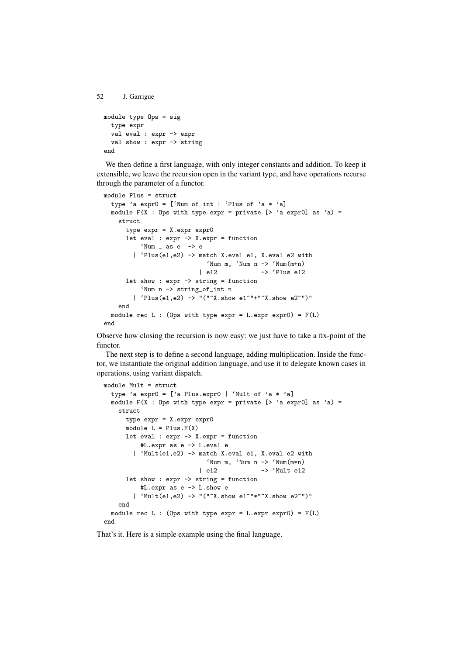```
52 J. Garrigue
 module type Ops = sig
   type expr
   val eval : expr -> expr
   val show : expr -> string
 end
```
We then define a first language, with only integer constants and addition. To keep it extensible, we leave the recursion open in the variant type, and have operations recurse through the parameter of a functor.

```
module Plus = struct
  type 'a expr0 = ['Num of int | 'Plus of 'a * 'a]
 module F(X : 0ps with type expr = private [ > 'a expr0] as 'a) =struct
      type expr = X.expr expr0let eval : expr \rightarrow X.expr = function'Num \_ as e \rightarrow e| 'Plus(e1,e2) -> match X.eval e1, X.eval e2 with
                             'Num m, 'Num n \rightarrow 'Num(m+n)
                           | e12 -> 'Plus e12
      let show : expr \rightarrow string = function'Num n -> string_of_int n
        | 'Plus(e1,e2) -> "("^X.show e1^"+"^X.show e2^")"
    end
  module rec L : (Ops with type expr = L.expr expr0) = F(L)
end
```
Observe how closing the recursion is now easy: we just have to take a fix-point of the functor.

The next step is to define a second language, adding multiplication. Inside the functor, we instantiate the original addition language, and use it to delegate known cases in operations, using variant dispatch.

```
module Mult = struct
  type 'a expr0 = ['a Plus.expr0 | 'Mult of 'a * 'a]
 module F(X : 0ps with type expr = private [ > 'a expro] as 'a) =
   struct
     type expr = X.expr expr0module L = Plus.F(X)let eval : expr \rightarrow X.expr = function#L.expr as e -> L.eval e
        | 'Mult(e1,e2) -> match X.eval e1, X.eval e2 with
                            'Num m, 'Num n \rightarrow 'Num(m*n)
                          | e12 -> 'Mult e12
      let show : expr -> string = function
          #L.expr as e -> L.show e
        | 'Mult(e1,e2) -> "("^X.show e1^"*"^X.show e2^")"
    end
 module rec L : (Ops with type expr = L. expr expr0) = F(L)end
```
That's it. Here is a simple example using the final language.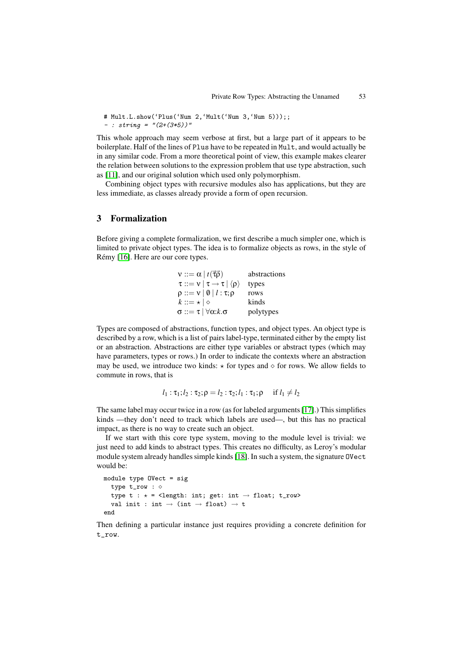```
# Mult.L.show('Plus('Num 2,'Mult('Num 3,'Num 5)));;
- : string = "(2+(3*5))"
```
This whole approach may seem verbose at first, but a large part of it appears to be boilerplate. Half of the lines of Plus have to be repeated in Mult, and would actually be in any similar code. From a more theoretical point of view, this example makes clearer the relation between solutions to the expression problem that use type abstraction, such as [11], and our original solution which used only polymorphism.

Combining object types with recursive modules also has applications, but they are less immediate, as classes already provide a form of open recursion.

# **3 [F](#page-16-2)ormalization**

<span id="page-9-0"></span>Before giving a complete formalization, we first describe a much simpler one, which is limited to private object types. The idea is to formalize objects as rows, in the style of Rémy [16]. Here are our core types.

| $v ::= \alpha   t(\vec{\tau} \vec{\rho})$                   | abstractions |
|-------------------------------------------------------------|--------------|
| $\tau ::= v   \tau \rightarrow \tau   \langle \rho \rangle$ | types        |
| $\rho ::= v   \emptyset   l : \tau; \rho$                   | rows         |
| $k ::= \star   \diamond$                                    | kinds        |
| $\sigma ::= \tau \,   \, \forall \alpha$ : $k.\sigma$       | polytypes    |

Types are composed of abstractions, function types, and object types. An object type is described by a row, which is a list of pairs label-type, terminated either by the empty list or an abstraction. Abstractions are either type variables or abstract types (which may have parameters, types or rows.) In order to indicate the contexts where an abstraction may be used, we introduce two kinds:  $\star$  for types and  $\diamond$  for rows. We allow fields to commute in rows, that is

```
l_1 : \tau_1;l_2 : \tau_2;\rho = l_2 : \tau_2;l_1 : \tau_1;\rho if l_1 \neq l_2
```
The same label may occur twice in a row (as for labeled arguments [17].) This simplifies kinds —they don't need to track which labels are used—, but this has no practical impact, as there is no way to create such an object.

If we start with this core type system, moving to the module level is trivial: we just need to add kinds to abstract types. This creates no difficulty, [as](#page-16-5) Leroy's modular module system already handles simple kinds [18]. In such a system, the signature OVect would be:

```
module type OVect = sig
  type t_row : 
  type t : \star = <length: int; get: int \rightarrow float; t_row>
  val init : int \rightarrow (int \rightarrow float) \rightarrow t
end
```
Then defining a particular instance just requires providing a concrete definition for t\_row.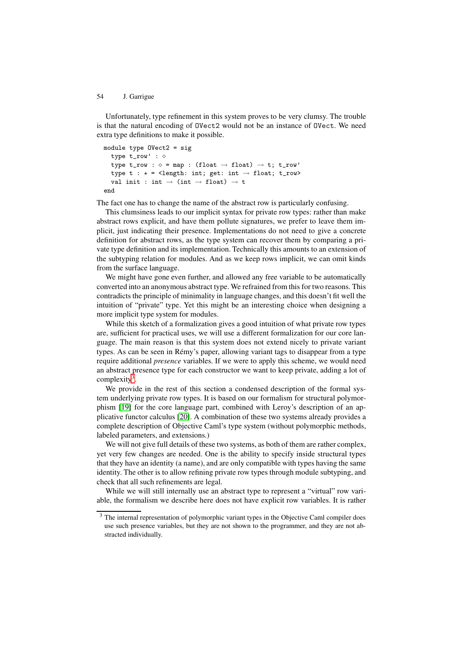Unfortunately, type refinement in this system proves to be very clumsy. The trouble is that the natural encoding of OVect2 would not be an instance of OVect. We need extra type definitions to make it possible.

```
module type OVect2 = sig
  type t_row' : \diamondtype t_{row} : \diamond = map : (float \rightarrow float) \rightarrow t; t_{row}'type t : \star = <length: int; get: int \rightarrow float; t_row>
  val init : int \rightarrow (int \rightarrow float) \rightarrow t
end
```
The fact one has to change the name of the abstract row is particularly confusing.

This clumsiness leads to our implicit syntax for private row types: rather than make abstract rows explicit, and have them pollute signatures, we prefer to leave them implicit, just indicating their presence. Implementations do not need to give a concrete definition for abstract rows, as the type system can recover them by comparing a private type definition and its implementation. Technically this amounts to an extension of the subtyping relation for modules. And as we keep rows implicit, we can omit kinds from the surface language.

We might have gone even further, and allowed any free variable to be automatically converted into an anonymous abstract type. We refrained from this for two reasons. This contradicts the principle of minimality in language changes, and this doesn't fit well the intuition of "private" type. Yet this might be an interesting choice when designing a more implicit type system for modules.

While this sketch of a formalization gives a good intuition of what private row types are, sufficient for practical uses, we will use a different formalization for our core language. The main reason is that this system does not extend nicely to private variant types. As can be seen in Rémy's paper, allowing variant tags to disappear from a type require additional *presence* variables. If we were to apply this scheme, we would need an abstract presence type for each constructor we want to keep private, adding a lot of complexity<sup>3</sup>.

We provide in the rest of this section a condensed description of the formal system underlying private row types. It is based on our formalism for structural polymorphism [19] for the core language part, combined with Leroy's description of an applicative f[un](#page-10-0)ctor calculus [20]. A combination of these two systems already provides a complete description of Objective Caml's type system (without polymorphic methods, labeled parameters, and extensions.)

We [will](#page-16-7) not give full details of these two systems, as both of them are rather complex, yet very few changes are [nee](#page-16-8)ded. One is the ability to specify inside structural types that they have an identity (a name), and are only compatible with types having the same identity. The other is to allow refining private row types through module subtyping, and check that all such refinements are legal.

While we will still internally use an abstract type to represent a "virtual" row variable, the formalism we describe here does not have explicit row variables. It is rather

<span id="page-10-0"></span><sup>&</sup>lt;sup>3</sup> The internal representation of polymorphic variant types in the Objective Caml compiler does use such presence variables, but they are not shown to the programmer, and they are not abstracted individually.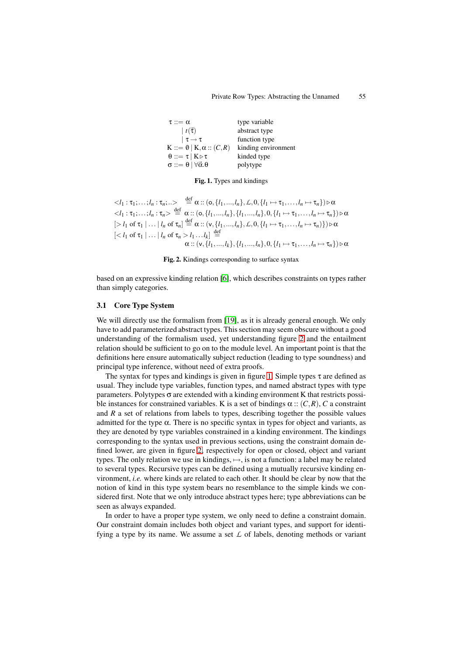| $\tau ::= \alpha$                                    | type variable       |
|------------------------------------------------------|---------------------|
| $ t(\vec{\tau}) $                                    | abstract type       |
| $ \tau \rightarrow \tau$                             | function type       |
| $K ::= \emptyset   K, \alpha :: (C, R)$              | kinding environment |
| $\theta ::= \tau   K \triangleright \tau$            | kinded type         |
| $\sigma ::= \theta \mid \forall \vec{\alpha}.\theta$ | polytype            |

#### **Fig. 1.** Types and kindings

$$
\langle l_1: \tau_1; \ldots; l_n: \tau_n; \ldots \rangle \stackrel{\text{def}}{=} \alpha :: (o, \{l_1, \ldots, l_n\}, \mathcal{L}, 0, \{l_1 \mapsto \tau_1, \ldots, l_n \mapsto \tau_n\}) \triangleright \alpha
$$
  

$$
\langle l_1: \tau_1; \ldots; l_n: \tau_n \rangle \stackrel{\text{def}}{=} \alpha :: (o, \{l_1, \ldots, l_n\}, \{l_1, \ldots, l_n\}, 0, \{l_1 \mapsto \tau_1, \ldots, l_n \mapsto \tau_n\}) \triangleright \alpha
$$
  

$$
[> l_1 \text{ of } \tau_1 | \ldots | l_n \text{ of } \tau_n] \stackrel{\text{def}}{=} \alpha :: (v, \{l_1, \ldots, l_n\}, \mathcal{L}, 0, \{l_1 \mapsto \tau_1, \ldots, l_n \mapsto \tau_n\}) \triangleright \alpha
$$
  

$$
[< l_1 \text{ of } \tau_1 | \ldots | l_n \text{ of } \tau_n > l_1 \ldots l_k] \stackrel{\text{def}}{=} \alpha :: (v, \{l_1, \ldots, l_n\}, 0, \{l_1 \mapsto \tau_1, \ldots, l_n \mapsto \tau_n\}) \triangleright \alpha
$$

<span id="page-11-1"></span>**Fig. 2.** Kindings corresponding to surface syntax

based on an expressive kinding relation [6], which describes constraints on types rather than simply categories.

### <span id="page-11-0"></span>**3.1 Core Type System**

We will directly use the formalism fro[m](#page-15-5) [\[1](#page-15-5)9], as it is already general enough. We only have to add parameterized abstract types. This section may seem obscure without a good understanding of the formalism used, yet understanding figure 2 and the entailment relation should be sufficient to go on to the module level. An important point is that the definitions here ensure automatically sub[ject](#page-16-7) reduction (leading to type soundness) and principal type inference, without need of extra proofs.

The syntax for [ty](#page-11-0)pes and kindings is given in figure 1. Simple types  $\tau$  are defined as usual. They include type variables, function types, and named abstract types with type parameters. Polytypes  $\sigma$  are extended with a kinding environment K that restricts possible instances for constrained variables. K is a set of bindings  $\alpha$  ::  $(C, R)$ ,  $C$  a constraint and *R* a set of relations from labels to types, describ[ing](#page-11-1) together the possible values admitted for the type  $\alpha$ . There is no specific syntax in types for object and variants, as they are denoted by type variables constrained in a kinding environment. The kindings corresponding to the syntax used in previous sections, using the constraint domain defined lower, are given in figure 2, respectively for open or closed, object and variant types. The only relation we use in kindings,  $\mapsto$ , is not a function: a label may be related to several types. Recursive types can be defined using a mutually recursive kinding environment, *i.e.* where kinds are related to each other. It should be clear by now that the notion of kind in this type syst[em](#page-11-0) bears no resemblance to the simple kinds we considered first. Note that we only introduce abstract types here; type abbreviations can be seen as always expanded.

In order to have a proper type system, we only need to define a constraint domain. Our constraint domain includes both object and variant types, and support for identifying a type by its name. We assume a set *L* of labels, denoting methods or variant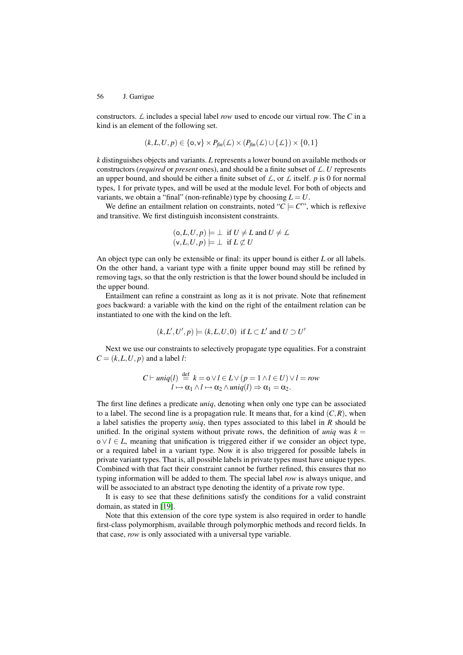constructors. *L* includes a special label *row* used to encode our virtual row. The *C* in a kind is an element of the following set.

$$
(k, L, U, p) \in \{o, v\} \times P_{fin}(L) \times (P_{fin}(L) \cup \{L\}) \times \{0, 1\}
$$

*k* distinguishes objects and variants. *L* represents a lower bound on available methods or constructors (*required* or *present* ones), and should be a finite subset of *L*. *U* represents an upper bound, and should be either a finite subset of  $\mathcal{L}$ , or  $\mathcal{L}$  itself. *p* is 0 for normal types, 1 for private types, and will be used at the module level. For both of objects and variants, we obtain a "final" (non-refinable) type by choosing  $L = U$ .

We define an entailment relation on constraints, noted " $C \models C$ ", which is reflexive and transitive. We first distinguish inconsistent constraints.

$$
(o, L, U, p) \models \bot \text{ if } U \neq L \text{ and } U \neq L
$$
  
 $(v, L, U, p) \models \bot \text{ if } L \not\subset U$ 

An object type can only be extensible or final: its upper bound is either *L* or all labels. On the other hand, a variant type with a finite upper bound may still be refined by removing tags, so that the only restriction is that the lower bound should be included in the upper bound.

Entailment can refine a constraint as long as it is not private. Note that refinement goes backward: a variable with the kind on the right of the entailment relation can be instantiated to one with the kind on the left.

$$
(k, L', U', p) \models (k, L, U, 0)
$$
 if  $L \subset L'$  and  $U \supset U'$ 

Next we use our constraints to selectively propagate type equalities. For a constraint  $C = (k, L, U, p)$  and a label *l*:

$$
C \vdash uniq(l) \stackrel{\text{def}}{=} k = o \lor l \in L \lor (p = 1 \land l \in U) \lor l = row l \mapsto \alpha_1 \land l \mapsto \alpha_2 \land uniq(l) \Rightarrow \alpha_1 = \alpha_2.
$$

The first line defines a predicate *uniq*, denoting when only one type can be associated to a label. The second line is a propagation rule. It means that, for a kind  $(C, R)$ , when a label satisfies the property *uniq*, then types associated to this label in *R* should be unified. In the original system without private rows, the definition of *uniq* was  $k =$ o ∨ *l* ∈ *L*, meaning that unification is triggered either if we consider an object type, or a required label in a variant type. Now it is also triggered for possible labels in private variant types. That is, all possible labels in private types must have unique types. Combined with that fact their constraint cannot be further refined, this ensures that no typing information will be added to them. The special label *row* is always unique, and will be associated to an abstract type denoting the identity of a private row type.

It is easy to see that these definitions satisfy the conditions for a valid constraint domain, as stated in [19].

Note that this extension of the core type system is also required in order to handle first-class polymorphism, available through polymorphic methods and record fields. In that case, *row* is only associated with a universal type variable.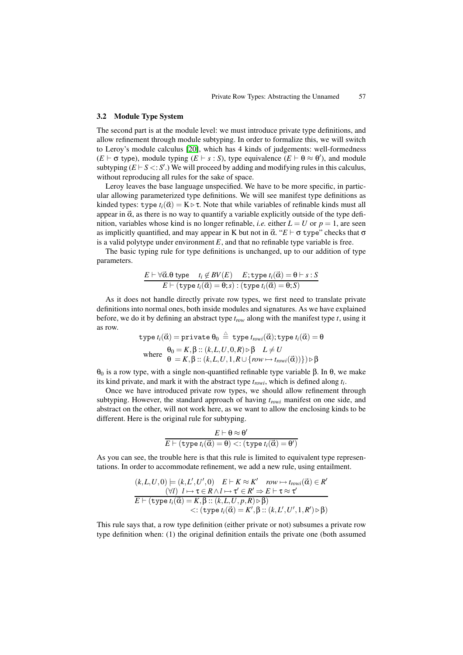#### **3.2 Module Type System**

The second part is at the module level: we must introduce private type definitions, and allow refinement through module subtyping. In order to formalize this, we will switch to Leroy's module calculus [20], which has 4 kinds of judgements: well-formedness  $(E \vdash \sigma \text{ type})$ , module typing  $(E \vdash s : S)$ , type equivalence  $(E \vdash \theta \approx \theta')$ , and module subtyping  $(E \mid S \lt S')$ . We will proceed by adding and modifying rules in this calculus, without reproducing all rules for the sake of space.

Leroy leaves the base lan[guag](#page-16-8)e unspecified. We have to be more specific, in particular allowing parameterized type definitions. We will see manifest type definitions as kinded types:  $\tt type t_i(\vec{\alpha}) = K \triangleright \tau$ . Note that while variables of refinable kinds must all appear in  $\vec{\alpha}$ , as there is no way to quantify a variable explicitly outside of the type definition, variables whose kind is no longer refinable, *i.e.* either  $L = U$  or  $p = 1$ , are seen as implicitly quantified, and may appear in K but not in  $\vec{\alpha}$ . " $E \vdash \sigma$  type" checks that  $\sigma$ is a valid polytype under environment  $E$ , and that no refinable type variable is free.

The basic typing rule for type definitions is unchanged, up to our addition of type parameters.

$$
\frac{E \vdash \forall \vec{\alpha}.\theta \text{ type } t_i \not\in BV(E) \quad E; \text{type } t_i(\vec{\alpha}) = \theta \vdash s : S}{E \vdash (\text{type } t_i(\vec{\alpha}) = \theta; s) : (\text{type } t_i(\vec{\alpha}) = \theta; S)}
$$

As it does not handle directly private row types, we first need to translate private definitions into normal ones, both inside modules and signatures. As we have explained before, we do it by defining an abstract type *trow* along with the manifest type *t*, using it as row.

$$
\text{type } t_i(\vec{\alpha}) = \text{private } \theta_0 \stackrel{\triangle}{=} \text{type } t_{rowi}(\vec{\alpha}); \text{type } t_i(\vec{\alpha}) = \theta \\ \text{where } \begin{array}{l} \theta_0 = K, \beta :: (k, L, U, 0, R) \triangleright \beta \quad L \neq U \\ \theta = K, \beta :: (k, L, U, 1, R \cup \{ row \mapsto t_{rowi}(\vec{\alpha})) \}) \triangleright \beta \end{array}
$$

 $θ_0$  is a row type, with a single non-quantified refinable type variable β. In  $θ$ , we make its kind private, and mark it with the abstract type *trowi*, which is defined along *ti*.

Once we have introduced private row types, we should allow refinement through subtyping. However, the standard approach of having *trowi* manifest on one side, and abstract on the other, will not work here, as we want to allow the enclosing kinds to be different. Here is the original rule for subtyping.

$$
\dfrac{E \vdash \theta \approx \theta'}{E \vdash (\texttt{type } t_i(\vec{\alpha}) = \theta) <: (\texttt{type } t_i(\vec{\alpha}) = \theta')}
$$

As you can see, the trouble here is that this rule is limited to equivalent type representations. In order to accommodate refinement, we add a new rule, using entailment.

$$
(k, L, U, 0) \models (k, L', U', 0) \quad E \vdash K \approx K' \quad row \mapsto t_{rowi}(\vec{\alpha}) \in R'
$$
  

$$
\frac{(\forall l) \quad l \mapsto \tau \in R \land l \mapsto \tau' \in R' \Rightarrow E \vdash \tau \approx \tau'}{E \vdash (\text{type } t_i(\vec{\alpha}) = K, \beta :: (k, L, U, p, R) \triangleright \beta)} \leq : (\text{type } t_i(\vec{\alpha}) = K', \beta :: (k, L', U', 1, R') \triangleright \beta)
$$

This rule says that, a row type definition (either private or not) subsumes a private row type definition when: (1) the original definition entails the private one (both assumed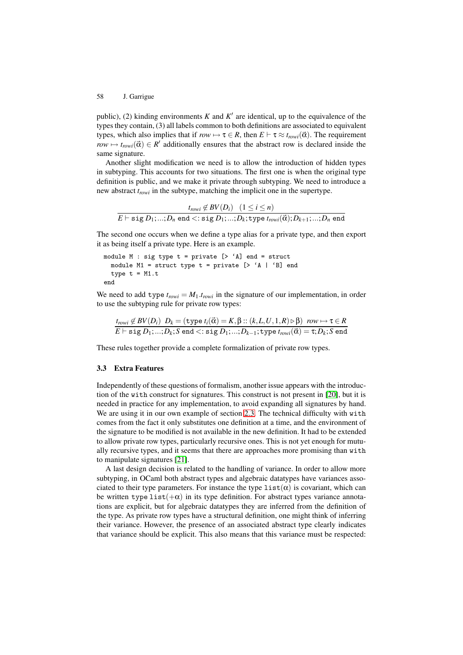public), (2) kinding environments  $K$  and  $K'$  are identical, up to the equivalence of the types they contain, (3) all labels common to both definitions are associated to equivalent types, which also implies that if  $row \mapsto \tau \in R$ , then  $E \vdash \tau \approx t_{rowi}(\vec{\alpha})$ . The requirement  $row \mapsto t_{rowi}(\vec{\alpha}) \in R'$  additionally ensures that the abstract row is declared inside the same signature.

Another slight modification we need is to allow the introduction of hidden types in subtyping. This accounts for two situations. The first one is when the original type definition is public, and we make it private through subtyping. We need to introduce a new abstract *trowi* in the subtype, matching the implicit one in the supertype.

 $t_{rowi} \not\in BV(D_i) \quad (1 \leq i \leq n)$  $E\vdash \texttt{sig}\,D_1;...;D_n$  end  $<:$   $\texttt{sig}\,D_1;...;D_k;$ type  $t_{rowi}(\vec{\alpha});D_{k+1};...;D_n$  end

The second one occurs when we define a type alias for a private type, and then export it as being itself a private type. Here is an example.

module  $M$  : sig type  $t = private$  [> 'A] end = struct module M1 = struct type t = private [> 'A | 'B] end type  $t = M1.t$ end

We need to add type  $t_{rowi} = M_1 \cdot t_{rowi}$  in the signature of our implementation, in order to use the subtyping rule for private row types:

$$
\frac{t_{rowi} \notin BV(D_i) \ D_k = (\text{type } t_i(\vec{\alpha}) = K, \beta :: (k, L, U, 1, R) \triangleright \beta) \ row \mapsto \tau \in R}{E \vdash \text{sig } D_1; \dots; D_k; S \text{ end} <: \text{sig } D_1; \dots; D_{k-1}; \text{type } t_{rowi}(\vec{\alpha}) = \tau; D_k; S \text{ end}}
$$

These rules together provide a complete formalization of private row types.

#### **3.3 Extra Features**

Independently of these questions of formalism, another issue appears with the introduction of the with construct for signatures. This construct is not present in [20], but it is needed in practice for any implementation, to avoid expanding all signatures by hand. We are using it in our own example of section 2.3. The technical difficulty with with comes from the fact it only substitutes one definition at a time, and the environment of the signature to be modified is not available in the new definition. It had to [be](#page-16-8) extended to allow private row types, particularly recursive ones. This is not yet enough for mutually recursive types, and it seems that there are [app](#page-7-0)roaches more promising than with to manipulate signatures [21].

A last design decision is related to the handling of variance. In order to allow more subtyping, in OCaml both abstract types and algebraic datatypes have variances associated to their type parameters. For instance the type  $list(\alpha)$  is covariant, which can be written type list( $+\alpha$ ) in its type definition. For abstract types variance annotations are explicit, but for algebraic datatypes they are inferred from the definition of the type. As private row types have a structural definition, one might think of inferring their variance. However, the presence of an associated abstract type clearly indicates that variance should be explicit. This also means that this variance must be respected: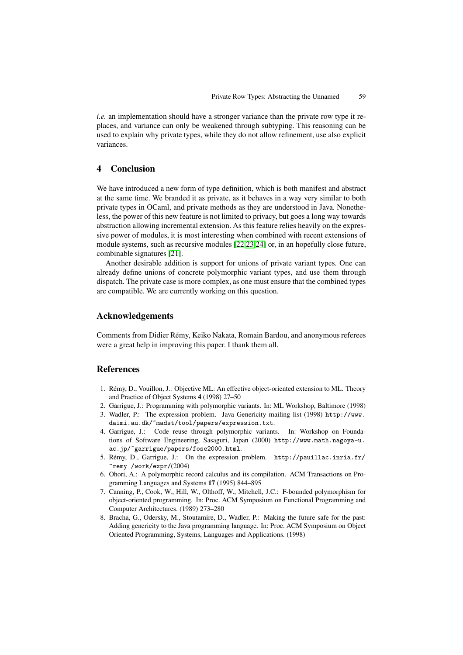*i.e.* an implementation should have a stronger variance than the private row type it replaces, and variance can only be weakened through subtyping. This reasoning can be used to explain why private types, while they do not allow refinement, use also explicit variances.

# **4 Conclusion**

We have introduced a new form of type definition, which is both manifest and abstract at the same time. We branded it as private, as it behaves in a way very similar to both private types in OCaml, and private methods as they are understood in Java. Nonetheless, the power of this new feature is not limited to privacy, but goes a long way towards abstraction allowing incremental extension. As this feature relies heavily on the expressive power of modules, it is most interesting when combined with recent extensions of module systems, such as recursive modules [22,23,24] or, in an hopefully close future, combinable signatures [21].

Another desirable addition is support for unions of private variant types. One can already define unions of concrete polymorphic variant types, and use them through dispatch. The private case is more complex, [as o](#page-16-10)[ne](#page-16-11) [mus](#page-16-12)t ensure that the combined types are compatible. We are [cur](#page-16-9)rently working on this question.

## **Acknowledgements**

Comments from Didier Rémy, Keiko Nakata, Romain Bardou, and anonymous referees were a great help in improving this paper. I thank them all.

## **References**

- 1. Rémy, D., Vouillon, J.: Objective ML: An effective object-oriented extension to ML. Theory and Practice of Object Systems **4** (1998) 27–50
- 2. Garrigue, J.: Programming with polymorphic variants. In: ML Workshop, Baltimore (1998)
- <span id="page-15-0"></span>3. Wadler, P.: The expression problem. Java Genericity mailing list (1998) http://www. daimi.au.dk/~madst/tool/papers/expression.txt.
- <span id="page-15-1"></span>4. Garrigue, J.: Code reuse through polymorphic variants. In: Workshop on Foundations of Software Engineering, Sasaguri, Japan (2000) http://www.math.nagoya-u. ac.jp/~garrigue/papers/fose2000.html.
- <span id="page-15-3"></span><span id="page-15-2"></span>5. Rémy, D., Garrigue, J.: On the expression problem. http://pauillac.inria.fr/ ~remy /work/expr/(2004)
- 6. Ohori, A.: A polymorphic record calculus and its compilation. ACM Transactions on Programming Languages and Systems **17** (1995) 844–895
- <span id="page-15-4"></span>7. Canning, P., Cook, W., Hill, W., Olthoff, W., Mitchell, J.C.: F-bounded polymorphism for object-oriented programming. In: Proc. ACM Symposium on Functional Programming and Computer Architectures. (1989) 273–280
- <span id="page-15-7"></span><span id="page-15-6"></span><span id="page-15-5"></span>8. Bracha, G., Odersky, M., Stoutamire, D., Wadler, P.: Making the future safe for the past: Adding genericity to the Java programming language. In: Proc. ACM Symposium on Object Oriented Programming, Systems, Languages and Applications. (1998)